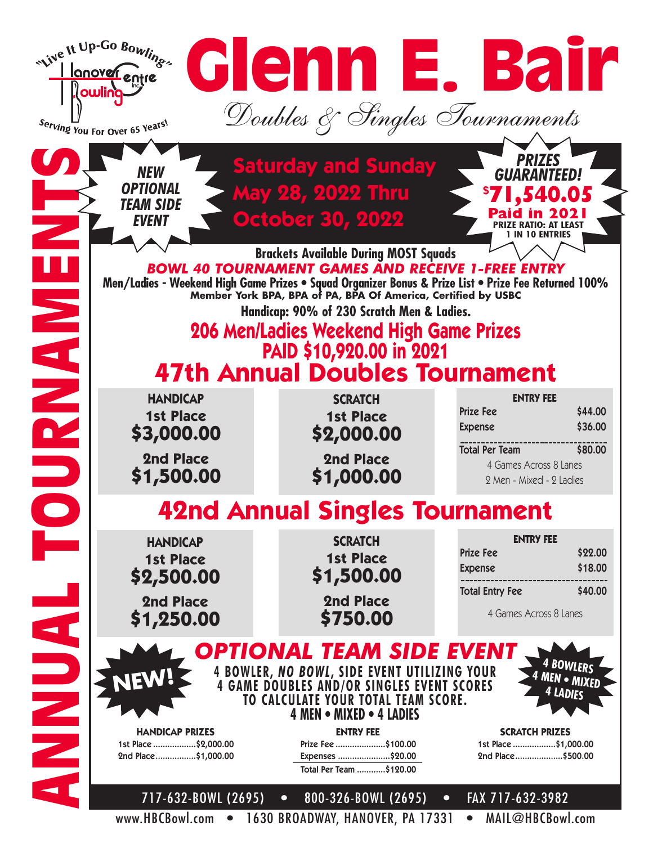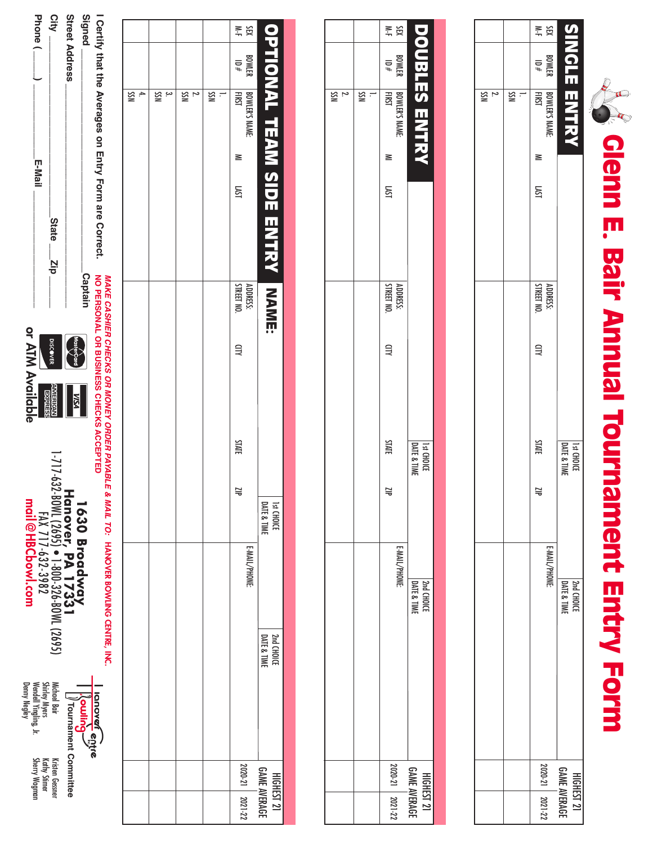| l                    |
|----------------------|
| ľ                    |
|                      |
| l<br>J               |
|                      |
| $\ddot{\bm{r}}$<br>þ |
| Ľ<br>J<br>l.         |
| ĺ<br>I               |

|                |     | ¥<br>X⊞                       |                                                 |
|----------------|-----|-------------------------------|-------------------------------------------------|
|                |     | <b>BOWLER</b><br>BOWLER       |                                                 |
| $\frac{2}{55}$ | ≌ : | BOWLER'S NAME:<br>FIRST       | <b>SINOTE ENTRY</b>                             |
|                |     | ≧                             |                                                 |
|                |     | LSVI                          |                                                 |
|                |     |                               |                                                 |
|                |     | ADDRESS:<br>STREET NO.        |                                                 |
|                |     | 目                             |                                                 |
|                |     | <b>STATE</b>                  | <b>DATE &amp; TIM</b><br>1 <sub>3t</sub> CHOICL |
|                |     | $\overline{\phantom{0}}$<br>o |                                                 |
|                |     | E-MAIL/PHONE:                 |                                                 |
|                |     |                               | <b>Pard CHOICE</b><br>DATE & TIME               |
|                |     |                               |                                                 |
|                |     |                               |                                                 |
|                |     |                               |                                                 |
|                |     |                               |                                                 |
|                |     |                               |                                                 |
|                |     | 2020-21   2021-22             | <b>GAME AVERAGE</b><br>HIGHEST 21               |
|                |     |                               |                                                 |

|         |                         |                              |      |                        |   | 11st CHOICL  |   |                                       |         | HIGHEST 21          |
|---------|-------------------------|------------------------------|------|------------------------|---|--------------|---|---------------------------------------|---------|---------------------|
|         |                         | DOUBLES ENTRY                |      |                        |   | DATE & TIMI  |   | <b>PATE &amp; TIME</b><br>DATE & TIME |         | <b>GAME AVERAGE</b> |
|         |                         |                              |      |                        |   |              |   | E-MAIL/PHONE:                         |         |                     |
| ¥¥<br>Σ | <b>BOWLER</b><br>BOWLER | BOWLER'S NAME:<br>FIRST<br>≊ | LSNI | ADDRESS:<br>STREET NO. | Ξ | <b>STATE</b> | 岂 |                                       | 2020-21 | $2021 - 22$         |
|         |                         |                              |      |                        |   |              |   |                                       |         |                     |
|         |                         | " ຂ                          |      |                        |   |              |   |                                       |         |                     |
|         |                         | $\frac{2}{5}$                |      |                        |   |              |   |                                       |         |                     |
|         |                         |                              |      |                        |   |              |   |                                       |         |                     |

|               |           | r, |        | ¥¥<br>X<br>$\begin{array}{c}\n# \, 01 \\ \hline\n\end{array}$ BOWLER |                                   |
|---------------|-----------|----|--------|----------------------------------------------------------------------|-----------------------------------|
| $\div$<br>ISS | ೆ.<br>SSI | ΝS | ¦<br>≧ | BOWLER'S NAME:<br><b>FIRST</b><br>≧<br><b>LKST</b>                   | OPTIONAL TEAM SIDE ENTRY INAME    |
|               |           |    |        | ADDRESS:<br>STREET NO.<br>$\exists$                                  |                                   |
|               |           |    |        | <b>STATE</b><br>Ξ                                                    | DATE & TIME<br><b>1st CHOICE</b>  |
|               |           |    |        | E-MAIL/PHONE:                                                        |                                   |
|               |           |    |        |                                                                      | 2nd CHOICE<br>DATE & TIME         |
|               |           |    |        | 2020-21   2021-22                                                    | <b>GAME AVERAGE</b><br>HIGHEST 21 |

| Oertity that the Averages on mortly Form are Correct.<br>MO PERSONAL OR BUSINESS COFFORS ACCEPTED | <b>MAKE CASHIER CHECKS OR MONEY ORDER PAYABLE</b> | & MAIL TO: HANOVER BOWLING CENTRE, INC.                                    |                                                                                        |
|---------------------------------------------------------------------------------------------------|---------------------------------------------------|----------------------------------------------------------------------------|----------------------------------------------------------------------------------------|
| Signed                                                                                            | <b>Captair</b>                                    |                                                                            |                                                                                        |
| Street Address                                                                                    | MasterCard<br><b>KSN</b>                          | 1630 Broadway<br>Hanover, PA 1733<br>1.717-632.90W. (?695) • 1-80-326-80W. | <br>  Couling<br>  Couling<br>  ) Tournament Committee                                 |
| City<br>State zip                                                                                 | <b>DISCOVER</b><br><b>AMERICAL</b>                |                                                                            | Michael Bair<br><b>Kristen Gessn</b>                                                   |
| E-Mail                                                                                            |                                                   | FAX 717-632-3982                                                           | Shirley Myers<br>Wendell Yingling, Jr.<br>Denny Negley<br>Kathy Stimer<br>Sherry Wagma |
|                                                                                                   | or ATM Available                                  | mail@HBCboxj.con                                                           |                                                                                        |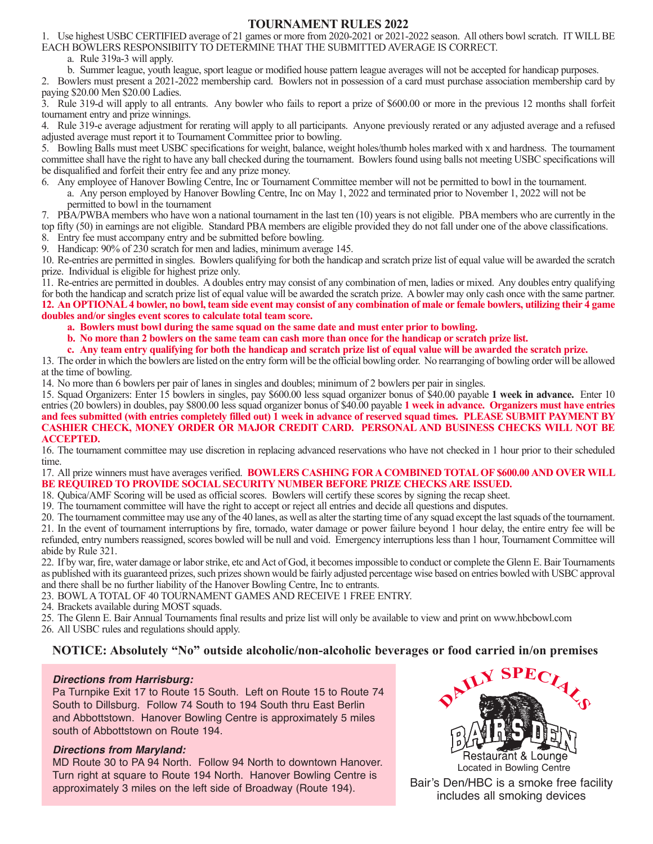## **TOURNAMENT RULES 2022**

1. Use highest USBC CERTIFIED average of 21 games or more from 2020-2021 or 2021-2022 season. All others bowl scratch. IT WILL BE EACH BOWLERS RESPONSIBIITY TO DETERMINE THAT THE SUBMITTED AVERAGE IS CORRECT.

a. Rule 319a-3 will apply.

 b. Summer league, youth league, sport league or modified house pattern league averages will not be accepted for handicap purposes. 2. Bowlers must present a 2021-2022 membership card. Bowlers not in possession of a card must purchase association membership card by

paying \$20.00 Men \$20.00 Ladies.

3. Rule 319-d will apply to all entrants. Any bowler who fails to report a prize of \$600.00 or more in the previous 12 months shall forfeit tournament entry and prize winnings.

4. Rule 319-e average adjustment for rerating will apply to all participants. Anyone previously rerated or any adjusted average and a refused adjusted average must report it to Tournament Committee prior to bowling.

5. Bowling Balls must meet USBC specifications for weight, balance, weight holes/thumb holes marked with x and hardness. The tournament committee shall have the right to have any ball checked during the tournament. Bowlers found using balls not meeting USBC specifications will be disqualified and forfeit their entry fee and any prize money.

- 6. Any employee of Hanover Bowling Centre, Inc or Tournament Committee member will not be permitted to bowl in the tournament. a. Any person employed by Hanover Bowling Centre, Inc on May 1, 2022 and terminated prior to November 1, 2022 will not be permitted to bowl in the tournament
- 7. PBA/PWBA members who have won a national tournament in the last ten (10) years is not eligible. PBA members who are currently in the

top fifty (50) in earnings are not eligible. Standard PBA members are eligible provided they do not fall under one of the above classifications.

8. Entry fee must accompany entry and be submitted before bowling.

9. Handicap: 90% of 230 scratch for men and ladies, minimum average 145.

10. Re-entries are permitted in singles. Bowlers qualifying for both the handicap and scratch prize list of equal value will be awarded the scratch prize. Individual is eligible for highest prize only.

11. Re-entries are permitted in doubles. A doubles entry may consist of any combination of men, ladies or mixed. Any doubles entry qualifying for both the handicap and scratch prize list of equal value will be awarded the scratch prize. A bowler may only cash once with the same partner. **12. An OPTIONAL 4 bowler, no bowl, team side event may consist of any combination of male or female bowlers, utilizing their 4 game doubles and/or singles event scores to calculate total team score.**

 **a. Bowlers must bowl during the same squad on the same date and must enter prior to bowling.**

 **b. No more than 2 bowlers on the same team can cash more than once for the handicap or scratch prize list.** 

 **c. Any team entry qualifying for both the handicap and scratch prize list of equal value will be awarded the scratch prize.**

13. The order in which the bowlers are listed on the entry form will be the official bowling order. No rearranging of bowling order will be allowed at the time of bowling.

14. No more than 6 bowlers per pair of lanes in singles and doubles; minimum of 2 bowlers per pair in singles.

15. Squad Organizers: Enter 15 bowlers in singles, pay \$600.00 less squad organizer bonus of \$40.00 payable **1 week in advance.** Enter 10 entries (20 bowlers) in doubles, pay \$800.00 less squad organizer bonus of \$40.00 payable **1 week in advance. Organizers must have entries and fees submitted (with entries completely filled out) 1 week in advance of reserved squad times. PLEASE SUBMIT PAYMENT BY CASHIER CHECK, MONEY ORDER OR MAJOR CREDIT CARD. PERSONAL AND BUSINESS CHECKS WILL NOT BE ACCEPTED.**

16. The tournament committee may use discretion in replacing advanced reservations who have not checked in 1 hour prior to their scheduled time.

17. All prize winners must have averages verified. **BOWLERS CASHING FOR A COMBINED TOTAL OF \$600.00 AND OVER WILL BE REQUIRED TO PROVIDE SOCIAL SECURITY NUMBER BEFORE PRIZE CHECKS ARE ISSUED.**

18. Qubica/AMF Scoring will be used as official scores. Bowlers will certify these scores by signing the recap sheet.

19. The tournament committee will have the right to accept or reject all entries and decide all questions and disputes.

20. The tournament committee may use any of the 40 lanes, as well as alter the starting time of any squad except the last squads of the tournament. 21. In the event of tournament interruptions by fire, tornado, water damage or power failure beyond 1 hour delay, the entire entry fee will be refunded, entry numbers reassigned, scores bowled will be null and void. Emergency interruptions less than 1 hour, Tournament Committee will abide by Rule 321.

22. If by war, fire, water damage or labor strike, etc and Act of God, it becomes impossible to conduct or complete the Glenn E. Bair Tournaments as published with its guaranteed prizes, such prizes shown would be fairly adjusted percentage wise based on entries bowled with USBC approval and there shall be no further liability of the Hanover Bowling Centre, Inc to entrants.

23. BOWL A TOTAL OF 40 TOURNAMENT GAMES AND RECEIVE 1 FREE ENTRY.

24. Brackets available during MOST squads.

25. The Glenn E. Bair Annual Tournaments final results and prize list will only be available to view and print on www.hbcbowl.com

26. All USBC rules and regulations should apply.

## **NOTICE: Absolutely "No" outside alcoholic/non-alcoholic beverages or food carried in/on premises**

## *Directions from Harrisburg:*

Pa Turnpike Exit 17 to Route 15 South. Left on Route 15 to Route 74 South to Dillsburg. Follow 74 South to 194 South thru East Berlin and Abbottstown. Hanover Bowling Centre is approximately 5 miles south of Abbottstown on Route 194.

## *Directions from Maryland:*

MD Route 30 to PA 94 North. Follow 94 North to downtown Hanover. Turn right at square to Route 194 North. Hanover Bowling Centre is approximately 3 miles on the left side of Broadway (Route 194).



Bair's Den/HBC is a smoke free facility includes all smoking devices Located in Bowling Centre